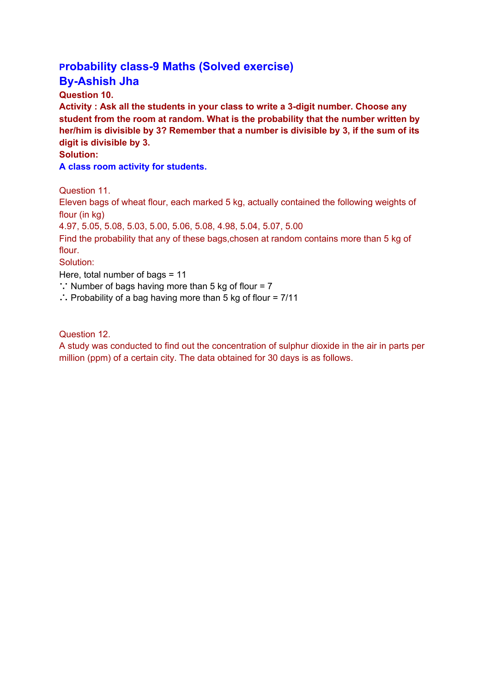## **Probability class-9 Maths (Solved exercise)**

## **By-Ashish Jha**

**Question 10.**

**Activity : Ask all the students in your class to write a 3-digit number. Choose any student from the room at random. What is the probability that the number written by her/him is divisible by 3? Remember that a number is divisible by 3, if the sum of its digit is divisible by 3.**

## **Solution:**

**A class room activity for students.**

Question 11.

Eleven bags of wheat flour, each marked 5 kg, actually contained the following weights of flour (in kg)

4.97, 5.05, 5.08, 5.03, 5.00, 5.06, 5.08, 4.98, 5.04, 5.07, 5.00

Find the probability that any of these bags,chosen at random contains more than 5 kg of flour.

Solution:

Here, total number of bags = 11

∵ Number of bags having more than 5 kg of flour = 7

∴ Probability of a bag having more than 5 kg of flour = 7/11

Question 12.

A study was conducted to find out the concentration of sulphur dioxide in the air in parts per million (ppm) of a certain city. The data obtained for 30 days is as follows.